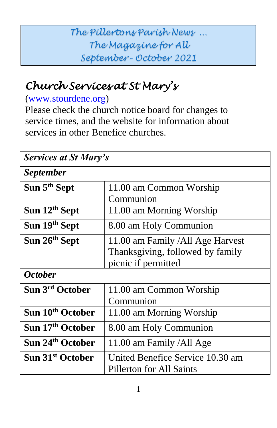## *The Pillertons Parish News … The Magazine for All September– October 2021*

# *Church Services at St Mary's*

### [\(www.stourdene.org\)](http://www.stourdene.org/)

Please check the church notice board for changes to service times, and the website for information about services in other Benefice churches.

| <b>Services at St Mary's</b> |                                                                                              |  |
|------------------------------|----------------------------------------------------------------------------------------------|--|
| <i>September</i>             |                                                                                              |  |
| Sun 5 <sup>th</sup> Sept     | 11.00 am Common Worship<br>Communion                                                         |  |
| Sun 12 <sup>th</sup> Sept    | 11.00 am Morning Worship                                                                     |  |
| Sun 19th Sept                | 8.00 am Holy Communion                                                                       |  |
| Sun 26th Sept                | 11.00 am Family / All Age Harvest<br>Thanksgiving, followed by family<br>picnic if permitted |  |
| <i><b>October</b></i>        |                                                                                              |  |
| Sun 3rd October              | 11.00 am Common Worship<br>Communion                                                         |  |
| Sun 10 <sup>th</sup> October | 11.00 am Morning Worship                                                                     |  |
| Sun 17th October             | 8.00 am Holy Communion                                                                       |  |
| Sun 24 <sup>th</sup> October | 11.00 am Family /All Age                                                                     |  |
| Sun 31 <sup>st</sup> October | United Benefice Service 10.30 am<br>Pillerton for All Saints                                 |  |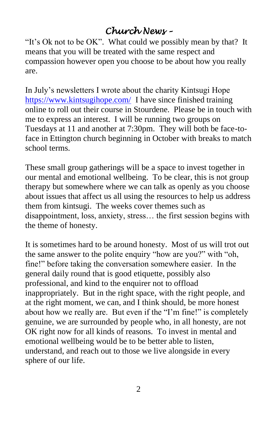## *Church News –*

"It's Ok not to be OK". What could we possibly mean by that? It means that you will be treated with the same respect and compassion however open you choose to be about how you really are.

In July's newsletters I wrote about the charity Kintsugi Hope <https://www.kintsugihope.com/>I have since finished training online to roll out their course in Stourdene. Please be in touch with me to express an interest. I will be running two groups on Tuesdays at 11 and another at 7:30pm. They will both be face-toface in Ettington church beginning in October with breaks to match school terms.

These small group gatherings will be a space to invest together in our mental and emotional wellbeing. To be clear, this is not group therapy but somewhere where we can talk as openly as you choose about issues that affect us all using the resources to help us address them from kintsugi. The weeks cover themes such as disappointment, loss, anxiety, stress… the first session begins with the theme of honesty.

It is sometimes hard to be around honesty. Most of us will trot out the same answer to the polite enquiry "how are you?" with "oh, fine!" before taking the conversation somewhere easier. In the general daily round that is good etiquette, possibly also professional, and kind to the enquirer not to offload inappropriately. But in the right space, with the right people, and at the right moment, we can, and I think should, be more honest about how we really are. But even if the "I'm fine!" is completely genuine, we are surrounded by people who, in all honesty, are not OK right now for all kinds of reasons. To invest in mental and emotional wellbeing would be to be better able to listen, understand, and reach out to those we live alongside in every sphere of our life.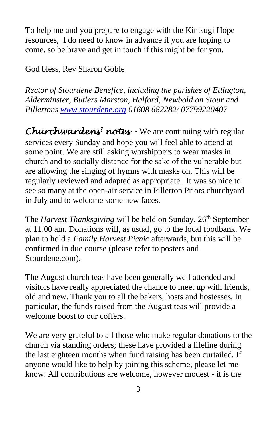To help me and you prepare to engage with the Kintsugi Hope resources, I do need to know in advance if you are hoping to come, so be brave and get in touch if this might be for you.

God bless, Rev Sharon Goble

*Rector of Stourdene Benefice, including the parishes of Ettington, Alderminster, Butlers Marston, Halford, Newbold on Stour and Pillertons [www.stourdene.org](http://www.stourdene.org/) 01608 682282/ 07799220407*

*Churchwardens' notes -* We are continuing with regular services every Sunday and hope you will feel able to attend at some point. We are still asking worshippers to wear masks in church and to socially distance for the sake of the vulnerable but are allowing the singing of hymns with masks on. This will be regularly reviewed and adapted as appropriate. It was so nice to see so many at the open-air service in Pillerton Priors churchyard in July and to welcome some new faces.

The *Harvest Thanksgiving* will be held on Sunday, 26<sup>th</sup> September at 11.00 am. Donations will, as usual, go to the local foodbank. We plan to hold a *Family Harvest Picnic* afterwards, but this will be confirmed in due course (please refer to posters and Stourdene.com).

The August church teas have been generally well attended and visitors have really appreciated the chance to meet up with friends, old and new. Thank you to all the bakers, hosts and hostesses. In particular, the funds raised from the August teas will provide a welcome boost to our coffers.

We are very grateful to all those who make regular donations to the church via standing orders; these have provided a lifeline during the last eighteen months when fund raising has been curtailed. If anyone would like to help by joining this scheme, please let me know. All contributions are welcome, however modest - it is the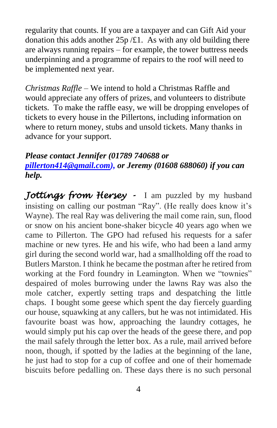regularity that counts. If you are a taxpayer and can Gift Aid your donation this adds another  $25p / £1$ . As with any old building there are always running repairs – for example, the tower buttress needs underpinning and a programme of repairs to the roof will need to be implemented next year.

*Christmas Raffle* – We intend to hold a Christmas Raffle and would appreciate any offers of prizes, and volunteers to distribute tickets. To make the raffle easy, we will be dropping envelopes of tickets to every house in the Pillertons, including information on where to return money, stubs and unsold tickets. Many thanks in advance for your support.

#### *Please contact Jennifer (01789 740688 or [pillerton414@gmail.com\)](mailto:pillerton414@gmail.com), or Jeremy (01608 688060) if you can help.*

*Jottings from Hersey -* I am puzzled by my husband insisting on calling our postman "Ray". (He really does know it's Wayne). The real Ray was delivering the mail come rain, sun, flood or snow on his ancient bone-shaker bicycle 40 years ago when we came to Pillerton. The GPO had refused his requests for a safer machine or new tyres. He and his wife, who had been a land army girl during the second world war, had a smallholding off the road to Butlers Marston. I think he became the postman after he retired from working at the Ford foundry in Leamington. When we "townies" despaired of moles burrowing under the lawns Ray was also the mole catcher, expertly setting traps and despatching the little chaps. I bought some geese which spent the day fiercely guarding our house, squawking at any callers, but he was not intimidated. His favourite boast was how, approaching the laundry cottages, he would simply put his cap over the heads of the geese there, and pop the mail safely through the letter box. As a rule, mail arrived before noon, though, if spotted by the ladies at the beginning of the lane, he just had to stop for a cup of coffee and one of their homemade biscuits before pedalling on. These days there is no such personal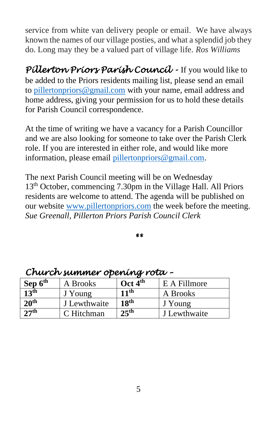service from white van delivery people or email. We have always known the names of our village posties, and what a splendid job they do. Long may they be a valued part of village life. *Ros Williams*

*Pillerton Priors Parish Council -* If you would like to be added to the Priors residents mailing list, please send an email to [pillertonpriors@gmail.com](mailto:pillertonpriors@gmail.com) with your name, email address and home address, giving your permission for us to hold these details for Parish Council correspondence.

At the time of writing we have a vacancy for a Parish Councillor and we are also looking for someone to take over the Parish Clerk role. If you are interested in either role, and would like more information, please email [pillertonpriors@gmail.com.](mailto:pillertonpriors@gmail.com)

The next Parish Council meeting will be on Wednesday 13th October, commencing 7.30pm in the Village Hall. All Priors residents are welcome to attend. The agenda will be published on our website [www.pillertonpriors.com](http://www.pillertonpriors.com/) the week before the meeting. *Sue Greenall, Pillerton Priors Parish Council Clerk* 

*\*\** 

| Sep 6 <sup>th</sup> | A Brooks     | Oct $4th$        | E A Fillmore |
|---------------------|--------------|------------------|--------------|
| 13 <sup>th</sup>    | J Young      | 11 <sup>th</sup> | A Brooks     |
| 20 <sup>th</sup>    | J Lewthwaite | 18 <sup>th</sup> | J Young      |
| 27 <sup>th</sup>    | C Hitchman   | 25 <sup>th</sup> | J Lewthwaite |

#### *Church summer opening rota –*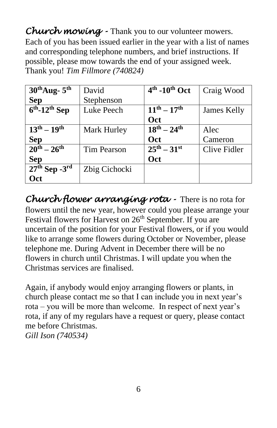*Church mowing -* Thank you to our volunteer mowers. Each of you has been issued earlier in the year with a list of names and corresponding telephone numbers, and brief instructions. If possible, please mow towards the end of your assigned week. Thank you! *Tim Fillmore (740824)*

| $30^{\text{th}}$ Aug- $5^{\text{th}}$ | David         | $4th$ -10 <sup>th</sup> Oct | Craig Wood   |
|---------------------------------------|---------------|-----------------------------|--------------|
| <b>Sep</b>                            | Stephenson    |                             |              |
| $6th$ -12 <sup>th</sup> Sep           | Luke Peech    | $11^{th} - 17^{th}$         | James Kelly  |
|                                       |               | Oct                         |              |
| $13^{th} - 19^{th}$                   | Mark Hurley   | $18^{th} - 24^{th}$         | Alec         |
| <b>Sep</b>                            |               | <b>Oct</b>                  | Cameron      |
| $\overline{20^{th} - 26^{th}}$        | Tim Pearson   | $25^{th} - 31^{st}$         | Clive Fidler |
| <b>Sep</b>                            |               | Oct                         |              |
| $27th$ Sep -3 <sup>rd</sup>           | Zbig Cichocki |                             |              |
| Oct                                   |               |                             |              |

*Church flower arranging rota -* There is no rota for flowers until the new year, however could you please arrange your Festival flowers for Harvest on  $26<sup>th</sup>$  September. If you are uncertain of the position for your Festival flowers, or if you would like to arrange some flowers during October or November, please telephone me. During Advent in December there will be no flowers in church until Christmas. I will update you when the Christmas services are finalised.

Again, if anybody would enjoy arranging flowers or plants, in church please contact me so that I can include you in next year's rota – you will be more than welcome. In respect of next year's rota, if any of my regulars have a request or query, please contact me before Christmas. *Gill Ison (740534)*